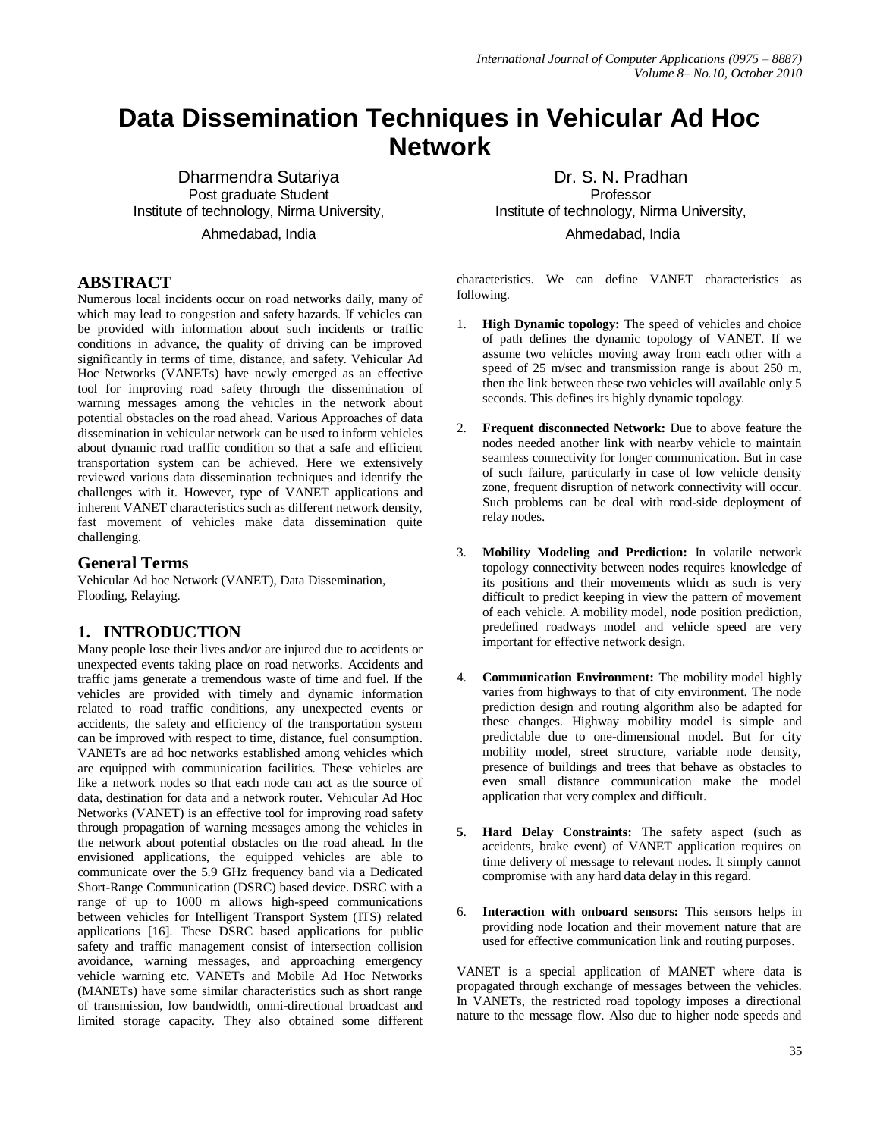# **Data Dissemination Techniques in Vehicular Ad Hoc Network**

Dharmendra Sutariya Post graduate Student Institute of technology, Nirma University, Ahmedabad, India

#### **ABSTRACT**

Numerous local incidents occur on road networks daily, many of which may lead to congestion and safety hazards. If vehicles can be provided with information about such incidents or traffic conditions in advance, the quality of driving can be improved significantly in terms of time, distance, and safety. Vehicular Ad Hoc Networks (VANETs) have newly emerged as an effective tool for improving road safety through the dissemination of warning messages among the vehicles in the network about potential obstacles on the road ahead. Various Approaches of data dissemination in vehicular network can be used to inform vehicles about dynamic road traffic condition so that a safe and efficient transportation system can be achieved. Here we extensively reviewed various data dissemination techniques and identify the challenges with it. However, type of VANET applications and inherent VANET characteristics such as different network density, fast movement of vehicles make data dissemination quite challenging.

#### **General Terms**

Vehicular Ad hoc Network (VANET), Data Dissemination, Flooding, Relaying.

## **1. INTRODUCTION**

Many people lose their lives and/or are injured due to accidents or unexpected events taking place on road networks. Accidents and traffic jams generate a tremendous waste of time and fuel. If the vehicles are provided with timely and dynamic information related to road traffic conditions, any unexpected events or accidents, the safety and efficiency of the transportation system can be improved with respect to time, distance, fuel consumption. VANETs are ad hoc networks established among vehicles which are equipped with communication facilities. These vehicles are like a network nodes so that each node can act as the source of data, destination for data and a network router. Vehicular Ad Hoc Networks (VANET) is an effective tool for improving road safety through propagation of warning messages among the vehicles in the network about potential obstacles on the road ahead. In the envisioned applications, the equipped vehicles are able to communicate over the 5.9 GHz frequency band via a Dedicated Short-Range Communication (DSRC) based device. DSRC with a range of up to 1000 m allows high-speed communications between vehicles for Intelligent Transport System (ITS) related applications [16]. These DSRC based applications for public safety and traffic management consist of intersection collision avoidance, warning messages, and approaching emergency vehicle warning etc. VANETs and Mobile Ad Hoc Networks (MANETs) have some similar characteristics such as short range of transmission, low bandwidth, omni-directional broadcast and limited storage capacity. They also obtained some different

Dr. S. N. Pradhan Professor Institute of technology, Nirma University, Ahmedabad, India

characteristics. We can define VANET characteristics as following.

- 1. **High Dynamic topology:** The speed of vehicles and choice of path defines the dynamic topology of VANET. If we assume two vehicles moving away from each other with a speed of 25 m/sec and transmission range is about 250 m, then the link between these two vehicles will available only 5 seconds. This defines its highly dynamic topology.
- 2. **Frequent disconnected Network:** Due to above feature the nodes needed another link with nearby vehicle to maintain seamless connectivity for longer communication. But in case of such failure, particularly in case of low vehicle density zone, frequent disruption of network connectivity will occur. Such problems can be deal with road-side deployment of relay nodes.
- 3. **Mobility Modeling and Prediction:** In volatile network topology connectivity between nodes requires knowledge of its positions and their movements which as such is very difficult to predict keeping in view the pattern of movement of each vehicle. A mobility model, node position prediction, predefined roadways model and vehicle speed are very important for effective network design.
- 4. **Communication Environment:** The mobility model highly varies from highways to that of city environment. The node prediction design and routing algorithm also be adapted for these changes. Highway mobility model is simple and predictable due to one-dimensional model. But for city mobility model, street structure, variable node density, presence of buildings and trees that behave as obstacles to even small distance communication make the model application that very complex and difficult.
- **5. Hard Delay Constraints:** The safety aspect (such as accidents, brake event) of VANET application requires on time delivery of message to relevant nodes. It simply cannot compromise with any hard data delay in this regard.
- 6. **Interaction with onboard sensors:** This sensors helps in providing node location and their movement nature that are used for effective communication link and routing purposes.

VANET is a special application of MANET where data is propagated through exchange of messages between the vehicles. In VANETs, the restricted road topology imposes a directional nature to the message flow. Also due to higher node speeds and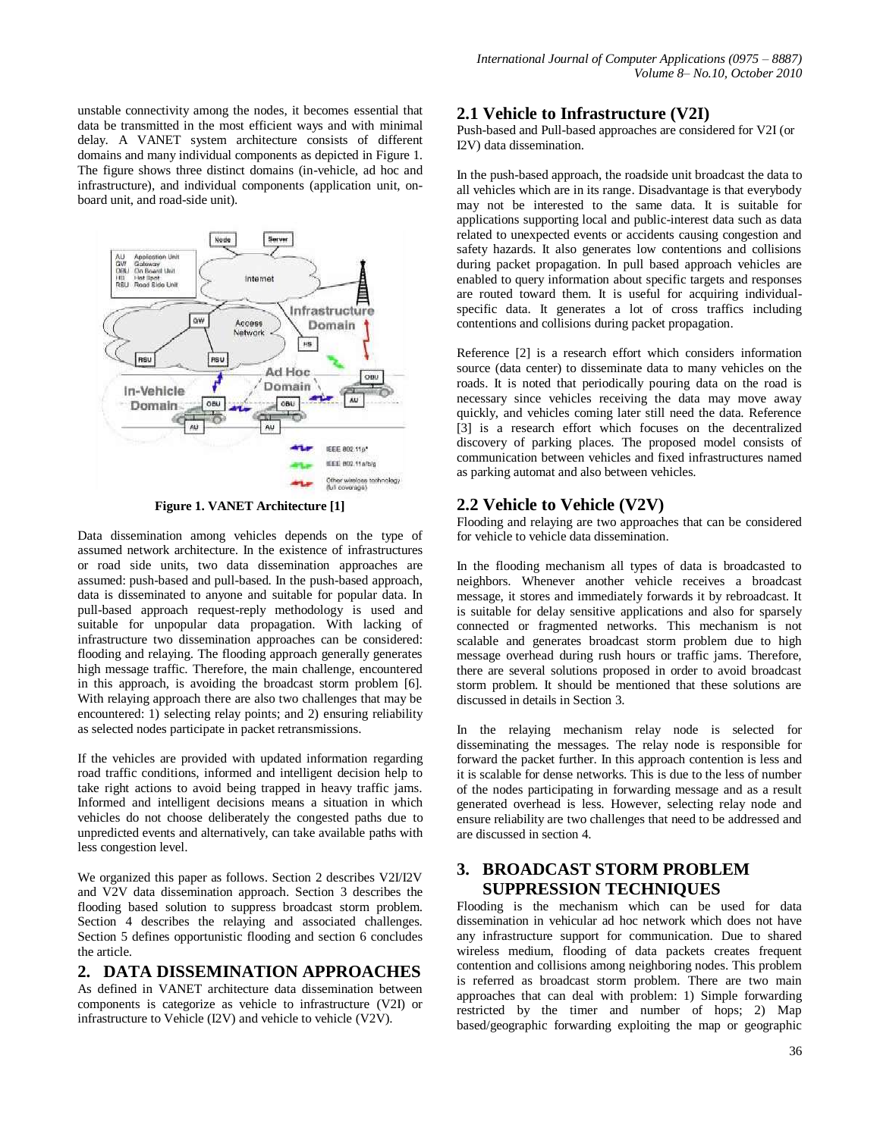unstable connectivity among the nodes, it becomes essential that data be transmitted in the most efficient ways and with minimal delay. A VANET system architecture consists of different domains and many individual components as depicted in Figure 1. The figure shows three distinct domains (in-vehicle, ad hoc and infrastructure), and individual components (application unit, onboard unit, and road-side unit).



**Figure 1. VANET Architecture [1]**

Data dissemination among vehicles depends on the type of assumed network architecture. In the existence of infrastructures or road side units, two data dissemination approaches are assumed: push-based and pull-based. In the push-based approach, data is disseminated to anyone and suitable for popular data. In pull-based approach request-reply methodology is used and suitable for unpopular data propagation. With lacking of infrastructure two dissemination approaches can be considered: flooding and relaying. The flooding approach generally generates high message traffic. Therefore, the main challenge, encountered in this approach, is avoiding the broadcast storm problem [6]. With relaying approach there are also two challenges that may be encountered: 1) selecting relay points; and 2) ensuring reliability as selected nodes participate in packet retransmissions.

If the vehicles are provided with updated information regarding road traffic conditions, informed and intelligent decision help to take right actions to avoid being trapped in heavy traffic jams. Informed and intelligent decisions means a situation in which vehicles do not choose deliberately the congested paths due to unpredicted events and alternatively, can take available paths with less congestion level.

We organized this paper as follows. Section 2 describes V2I/I2V and V2V data dissemination approach. Section 3 describes the flooding based solution to suppress broadcast storm problem. Section 4 describes the relaying and associated challenges. Section 5 defines opportunistic flooding and section 6 concludes the article.

## **2. DATA DISSEMINATION APPROACHES**

As defined in VANET architecture data dissemination between components is categorize as vehicle to infrastructure (V2I) or infrastructure to Vehicle (I2V) and vehicle to vehicle (V2V).

#### **2.1 Vehicle to Infrastructure (V2I)**

Push-based and Pull-based approaches are considered for V2I (or I2V) data dissemination.

In the push-based approach, the roadside unit broadcast the data to all vehicles which are in its range. Disadvantage is that everybody may not be interested to the same data. It is suitable for applications supporting local and public-interest data such as data related to unexpected events or accidents causing congestion and safety hazards. It also generates low contentions and collisions during packet propagation. In pull based approach vehicles are enabled to query information about specific targets and responses are routed toward them. It is useful for acquiring individualspecific data. It generates a lot of cross traffics including contentions and collisions during packet propagation.

Reference [2] is a research effort which considers information source (data center) to disseminate data to many vehicles on the roads. It is noted that periodically pouring data on the road is necessary since vehicles receiving the data may move away quickly, and vehicles coming later still need the data. Reference [3] is a research effort which focuses on the decentralized discovery of parking places. The proposed model consists of communication between vehicles and fixed infrastructures named as parking automat and also between vehicles.

#### **2.2 Vehicle to Vehicle (V2V)**

Flooding and relaying are two approaches that can be considered for vehicle to vehicle data dissemination.

In the flooding mechanism all types of data is broadcasted to neighbors. Whenever another vehicle receives a broadcast message, it stores and immediately forwards it by rebroadcast. It is suitable for delay sensitive applications and also for sparsely connected or fragmented networks. This mechanism is not scalable and generates broadcast storm problem due to high message overhead during rush hours or traffic jams. Therefore, there are several solutions proposed in order to avoid broadcast storm problem. It should be mentioned that these solutions are discussed in details in Section 3.

In the relaying mechanism relay node is selected for disseminating the messages. The relay node is responsible for forward the packet further. In this approach contention is less and it is scalable for dense networks. This is due to the less of number of the nodes participating in forwarding message and as a result generated overhead is less. However, selecting relay node and ensure reliability are two challenges that need to be addressed and are discussed in section 4.

## **3. BROADCAST STORM PROBLEM SUPPRESSION TECHNIQUES**

Flooding is the mechanism which can be used for data dissemination in vehicular ad hoc network which does not have any infrastructure support for communication. Due to shared wireless medium, flooding of data packets creates frequent contention and collisions among neighboring nodes. This problem is referred as broadcast storm problem. There are two main approaches that can deal with problem: 1) Simple forwarding restricted by the timer and number of hops; 2) Map based/geographic forwarding exploiting the map or geographic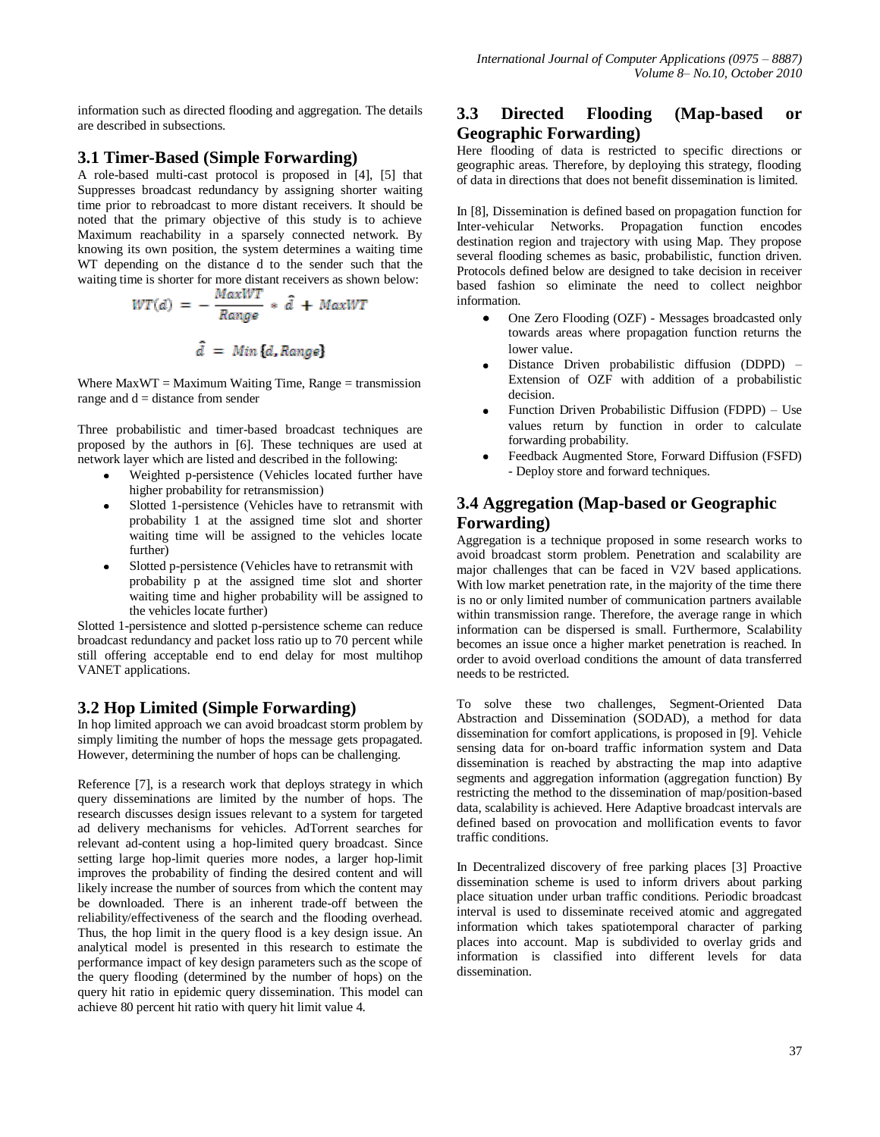information such as directed flooding and aggregation. The details are described in subsections.

#### **3.1 Timer-Based (Simple Forwarding)**

A role-based multi-cast protocol is proposed in [4], [5] that Suppresses broadcast redundancy by assigning shorter waiting time prior to rebroadcast to more distant receivers. It should be noted that the primary objective of this study is to achieve Maximum reachability in a sparsely connected network. By knowing its own position, the system determines a waiting time WT depending on the distance d to the sender such that the waiting time is shorter for more distant receivers as shown below:

$$
WT(d) = -\frac{MaxWT}{Range} * \hat{d} + MaxWT
$$

$$
\hat{d} = Min{d, Range}
$$

Where  $MaxWT = Maximum \text{ Waiting Time}$ ,  $Range = transmission$ range and  $d =$  distance from sender

Three probabilistic and timer-based broadcast techniques are proposed by the authors in [6]. These techniques are used at network layer which are listed and described in the following:

- Weighted p-persistence (Vehicles located further have higher probability for retransmission)
- Slotted 1-persistence (Vehicles have to retransmit with probability 1 at the assigned time slot and shorter waiting time will be assigned to the vehicles locate further)
- Slotted p-persistence (Vehicles have to retransmit with probability p at the assigned time slot and shorter waiting time and higher probability will be assigned to the vehicles locate further)

Slotted 1-persistence and slotted p-persistence scheme can reduce broadcast redundancy and packet loss ratio up to 70 percent while still offering acceptable end to end delay for most multihop VANET applications.

## **3.2 Hop Limited (Simple Forwarding)**

In hop limited approach we can avoid broadcast storm problem by simply limiting the number of hops the message gets propagated. However, determining the number of hops can be challenging.

Reference [7], is a research work that deploys strategy in which query disseminations are limited by the number of hops. The research discusses design issues relevant to a system for targeted ad delivery mechanisms for vehicles. AdTorrent searches for relevant ad-content using a hop-limited query broadcast. Since setting large hop-limit queries more nodes, a larger hop-limit improves the probability of finding the desired content and will likely increase the number of sources from which the content may be downloaded. There is an inherent trade-off between the reliability/effectiveness of the search and the flooding overhead. Thus, the hop limit in the query flood is a key design issue. An analytical model is presented in this research to estimate the performance impact of key design parameters such as the scope of the query flooding (determined by the number of hops) on the query hit ratio in epidemic query dissemination. This model can achieve 80 percent hit ratio with query hit limit value 4.

## **3.3 Directed Flooding (Map-based or Geographic Forwarding)**

Here flooding of data is restricted to specific directions or geographic areas. Therefore, by deploying this strategy, flooding of data in directions that does not benefit dissemination is limited.

In [8], Dissemination is defined based on propagation function for Inter-vehicular Networks. Propagation function encodes destination region and trajectory with using Map. They propose several flooding schemes as basic, probabilistic, function driven. Protocols defined below are designed to take decision in receiver based fashion so eliminate the need to collect neighbor information.

- One Zero Flooding (OZF) Messages broadcasted only towards areas where propagation function returns the lower value.
- Distance Driven probabilistic diffusion (DDPD) Extension of OZF with addition of a probabilistic decision.
- Function Driven Probabilistic Diffusion (FDPD) Use values return by function in order to calculate forwarding probability.
- Feedback Augmented Store, Forward Diffusion (FSFD) - Deploy store and forward techniques.

# **3.4 Aggregation (Map-based or Geographic Forwarding)**

Aggregation is a technique proposed in some research works to avoid broadcast storm problem. Penetration and scalability are major challenges that can be faced in V2V based applications. With low market penetration rate, in the majority of the time there is no or only limited number of communication partners available within transmission range. Therefore, the average range in which information can be dispersed is small. Furthermore, Scalability becomes an issue once a higher market penetration is reached. In order to avoid overload conditions the amount of data transferred needs to be restricted.

To solve these two challenges, Segment-Oriented Data Abstraction and Dissemination (SODAD), a method for data dissemination for comfort applications, is proposed in [9]. Vehicle sensing data for on-board traffic information system and Data dissemination is reached by abstracting the map into adaptive segments and aggregation information (aggregation function) By restricting the method to the dissemination of map/position-based data, scalability is achieved. Here Adaptive broadcast intervals are defined based on provocation and mollification events to favor traffic conditions.

In Decentralized discovery of free parking places [3] Proactive dissemination scheme is used to inform drivers about parking place situation under urban traffic conditions. Periodic broadcast interval is used to disseminate received atomic and aggregated information which takes spatiotemporal character of parking places into account. Map is subdivided to overlay grids and information is classified into different levels for data dissemination.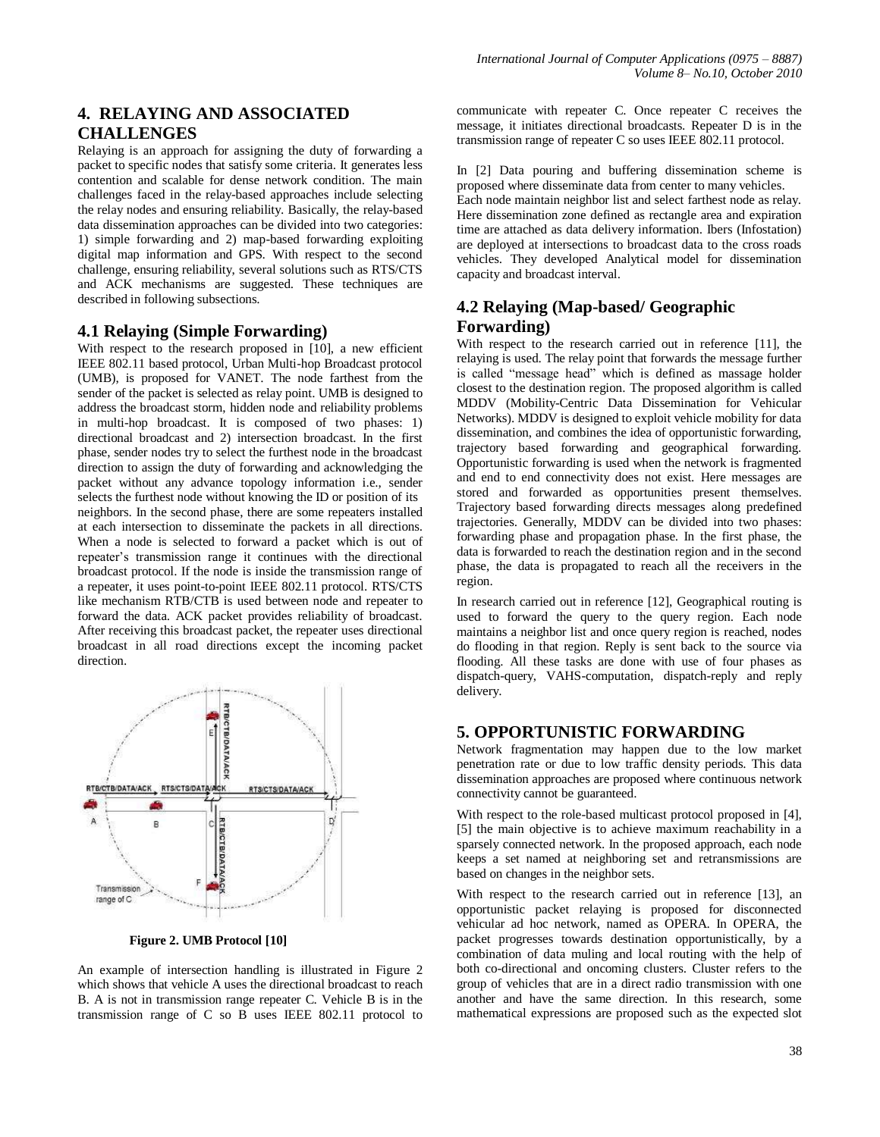# **4. RELAYING AND ASSOCIATED CHALLENGES**

Relaying is an approach for assigning the duty of forwarding a packet to specific nodes that satisfy some criteria. It generates less contention and scalable for dense network condition. The main challenges faced in the relay-based approaches include selecting the relay nodes and ensuring reliability. Basically, the relay-based data dissemination approaches can be divided into two categories: 1) simple forwarding and 2) map-based forwarding exploiting digital map information and GPS. With respect to the second challenge, ensuring reliability, several solutions such as RTS/CTS and ACK mechanisms are suggested. These techniques are described in following subsections.

#### **4.1 Relaying (Simple Forwarding)**

With respect to the research proposed in [10], a new efficient IEEE 802.11 based protocol, Urban Multi-hop Broadcast protocol (UMB), is proposed for VANET. The node farthest from the sender of the packet is selected as relay point. UMB is designed to address the broadcast storm, hidden node and reliability problems in multi-hop broadcast. It is composed of two phases: 1) directional broadcast and 2) intersection broadcast. In the first phase, sender nodes try to select the furthest node in the broadcast direction to assign the duty of forwarding and acknowledging the packet without any advance topology information i.e., sender selects the furthest node without knowing the ID or position of its neighbors. In the second phase, there are some repeaters installed at each intersection to disseminate the packets in all directions. When a node is selected to forward a packet which is out of repeater's transmission range it continues with the directional broadcast protocol. If the node is inside the transmission range of a repeater, it uses point-to-point IEEE 802.11 protocol. RTS/CTS like mechanism RTB/CTB is used between node and repeater to forward the data. ACK packet provides reliability of broadcast. After receiving this broadcast packet, the repeater uses directional broadcast in all road directions except the incoming packet direction.



 **Figure 2. UMB Protocol [10]**

An example of intersection handling is illustrated in Figure 2 which shows that vehicle A uses the directional broadcast to reach B. A is not in transmission range repeater C. Vehicle B is in the transmission range of C so B uses IEEE 802.11 protocol to communicate with repeater C. Once repeater C receives the message, it initiates directional broadcasts. Repeater D is in the transmission range of repeater C so uses IEEE 802.11 protocol.

In [2] Data pouring and buffering dissemination scheme is proposed where disseminate data from center to many vehicles.

Each node maintain neighbor list and select farthest node as relay. Here dissemination zone defined as rectangle area and expiration time are attached as data delivery information. Ibers (Infostation) are deployed at intersections to broadcast data to the cross roads vehicles. They developed Analytical model for dissemination capacity and broadcast interval.

## **4.2 Relaying (Map-based/ Geographic Forwarding)**

With respect to the research carried out in reference [11], the relaying is used. The relay point that forwards the message further is called "message head" which is defined as massage holder closest to the destination region. The proposed algorithm is called MDDV (Mobility-Centric Data Dissemination for Vehicular Networks). MDDV is designed to exploit vehicle mobility for data dissemination, and combines the idea of opportunistic forwarding, trajectory based forwarding and geographical forwarding. Opportunistic forwarding is used when the network is fragmented and end to end connectivity does not exist. Here messages are stored and forwarded as opportunities present themselves. Trajectory based forwarding directs messages along predefined trajectories. Generally, MDDV can be divided into two phases: forwarding phase and propagation phase. In the first phase, the data is forwarded to reach the destination region and in the second phase, the data is propagated to reach all the receivers in the region.

In research carried out in reference [12], Geographical routing is used to forward the query to the query region. Each node maintains a neighbor list and once query region is reached, nodes do flooding in that region. Reply is sent back to the source via flooding. All these tasks are done with use of four phases as dispatch-query, VAHS-computation, dispatch-reply and reply delivery.

## **5. OPPORTUNISTIC FORWARDING**

Network fragmentation may happen due to the low market penetration rate or due to low traffic density periods. This data dissemination approaches are proposed where continuous network connectivity cannot be guaranteed.

With respect to the role-based multicast protocol proposed in [4], [5] the main objective is to achieve maximum reachability in a sparsely connected network. In the proposed approach, each node keeps a set named at neighboring set and retransmissions are based on changes in the neighbor sets.

With respect to the research carried out in reference [13], an opportunistic packet relaying is proposed for disconnected vehicular ad hoc network, named as OPERA. In OPERA, the packet progresses towards destination opportunistically, by a combination of data muling and local routing with the help of both co-directional and oncoming clusters. Cluster refers to the group of vehicles that are in a direct radio transmission with one another and have the same direction. In this research, some mathematical expressions are proposed such as the expected slot